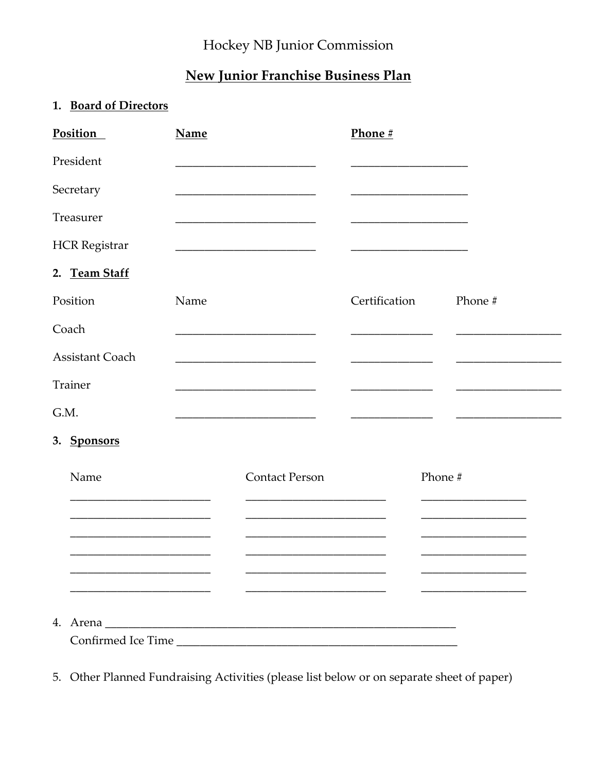# Hockey NB Junior Commission

# New Junior Franchise Business Plan

### 1. Board of Directors

| <b>Position</b>        | <b>Name</b> |                       | Phone #       |         |
|------------------------|-------------|-----------------------|---------------|---------|
| President              |             |                       |               |         |
| Secretary              |             |                       |               |         |
| Treasurer              |             |                       |               |         |
| <b>HCR</b> Registrar   |             |                       |               |         |
| 2. Team Staff          |             |                       |               |         |
| Position               | Name        |                       | Certification | Phone # |
| Coach                  |             |                       |               |         |
| <b>Assistant Coach</b> |             |                       |               |         |
| <b>Trainer</b>         |             |                       |               |         |
| G.M.                   |             |                       |               |         |
| 3. Sponsors            |             |                       |               |         |
| Name                   |             | <b>Contact Person</b> | Phone #       |         |
|                        |             |                       |               |         |
|                        |             |                       |               |         |
|                        |             |                       |               |         |
|                        |             |                       |               |         |
|                        |             |                       |               |         |
|                        |             |                       |               |         |

5. Other Planned Fundraising Activities (please list below or on separate sheet of paper)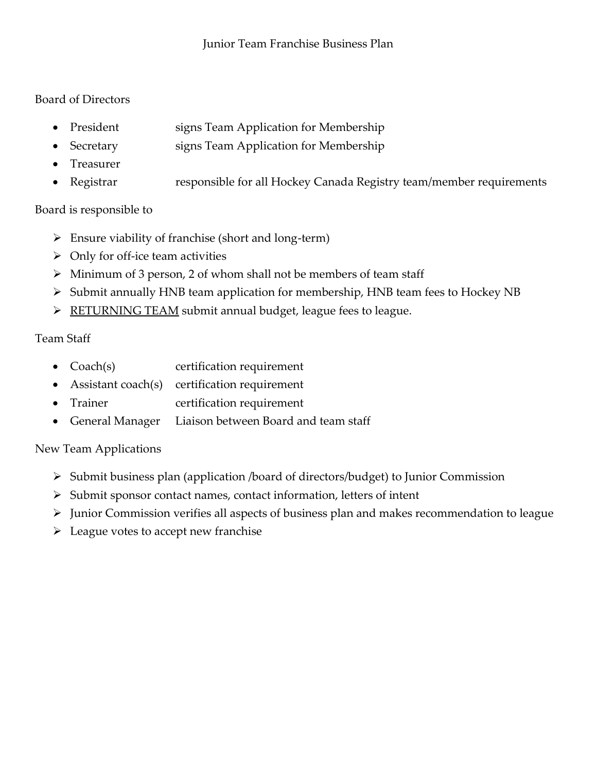#### Board of Directors

- President signs Team Application for Membership
	- Secretary signs Team Application for Membership
- Treasurer
- Registrar responsible for all Hockey Canada Registry team/member requirements

#### Board is responsible to

- $\triangleright$  Ensure viability of franchise (short and long-term)
- $\triangleright$  Only for off-ice team activities
- $\triangleright$  Minimum of 3 person, 2 of whom shall not be members of team staff
- Submit annually HNB team application for membership, HNB team fees to Hockey NB
- $\triangleright$  RETURNING TEAM submit annual budget, league fees to league.

#### Team Staff

- Coach(s) certification requirement
- Assistant coach(s) certification requirement
- Trainer certification requirement
- General Manager Liaison between Board and team staff

## New Team Applications

- Submit business plan (application /board of directors/budget) to Junior Commission
- $\triangleright$  Submit sponsor contact names, contact information, letters of intent
- Junior Commission verifies all aspects of business plan and makes recommendation to league
- $\triangleright$  League votes to accept new franchise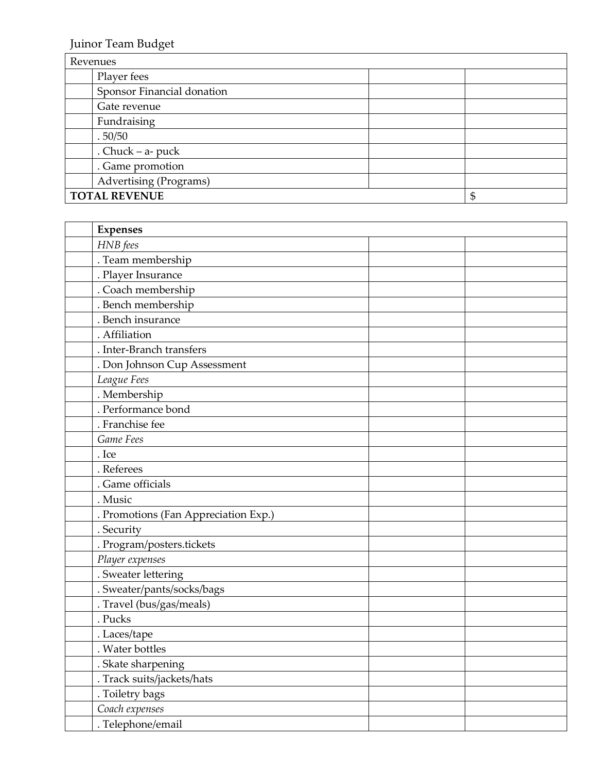Juinor Team Budget

| Revenues                   |    |  |  |  |
|----------------------------|----|--|--|--|
| Player fees                |    |  |  |  |
| Sponsor Financial donation |    |  |  |  |
| Gate revenue               |    |  |  |  |
| Fundraising                |    |  |  |  |
| .50/50                     |    |  |  |  |
| . Chuck $-$ a- puck        |    |  |  |  |
| . Game promotion           |    |  |  |  |
| Advertising (Programs)     |    |  |  |  |
| <b>TOTAL REVENUE</b>       | \$ |  |  |  |

|       | <b>Expenses</b>                      |  |
|-------|--------------------------------------|--|
|       | HNB fees                             |  |
|       | . Team membership                    |  |
|       | . Player Insurance                   |  |
|       | . Coach membership                   |  |
|       | . Bench membership                   |  |
|       | . Bench insurance                    |  |
|       | . Affiliation                        |  |
|       | . Inter-Branch transfers             |  |
|       | . Don Johnson Cup Assessment         |  |
|       | League Fees                          |  |
|       | . Membership                         |  |
|       | . Performance bond                   |  |
|       | . Franchise fee                      |  |
|       | Game Fees                            |  |
| . Ice |                                      |  |
|       | . Referees                           |  |
|       | . Game officials                     |  |
|       | . Music                              |  |
|       | . Promotions (Fan Appreciation Exp.) |  |
|       | . Security                           |  |
|       | . Program/posters.tickets            |  |
|       | Player expenses                      |  |
|       | . Sweater lettering                  |  |
|       | . Sweater/pants/socks/bags           |  |
|       | . Travel (bus/gas/meals)             |  |
|       | . Pucks                              |  |
|       | . Laces/tape                         |  |
|       | . Water bottles                      |  |
|       | . Skate sharpening                   |  |
|       | . Track suits/jackets/hats           |  |
|       | . Toiletry bags                      |  |
|       | Coach expenses                       |  |
|       | . Telephone/email                    |  |